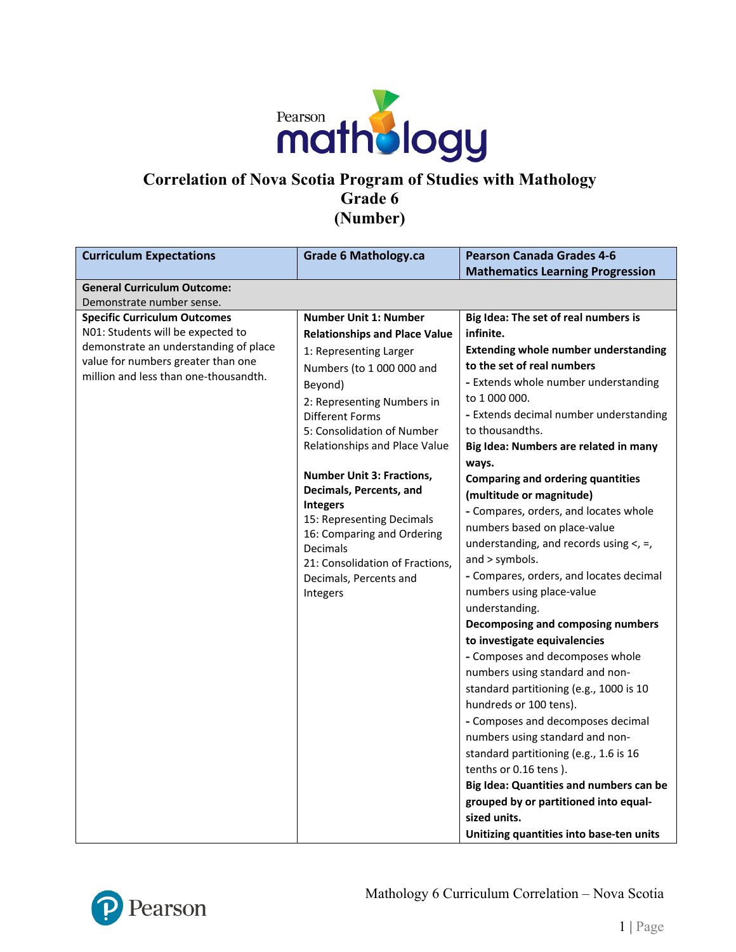

### **Correlation of Nova Scotia Program of Studies with Mathology Grade 6 (Number)**

| <b>Curriculum Expectations</b>                                              | <b>Grade 6 Mathology.ca</b>                | <b>Pearson Canada Grades 4-6</b>            |
|-----------------------------------------------------------------------------|--------------------------------------------|---------------------------------------------|
|                                                                             |                                            | <b>Mathematics Learning Progression</b>     |
| <b>General Curriculum Outcome:</b>                                          |                                            |                                             |
| Demonstrate number sense.                                                   |                                            |                                             |
| <b>Specific Curriculum Outcomes</b>                                         | <b>Number Unit 1: Number</b>               | Big Idea: The set of real numbers is        |
| N01: Students will be expected to                                           | <b>Relationships and Place Value</b>       | infinite.                                   |
| demonstrate an understanding of place                                       | 1: Representing Larger                     | <b>Extending whole number understanding</b> |
| value for numbers greater than one<br>million and less than one-thousandth. | Numbers (to 1 000 000 and                  | to the set of real numbers                  |
|                                                                             | Beyond)                                    | - Extends whole number understanding        |
|                                                                             | 2: Representing Numbers in                 | to 1 000 000.                               |
|                                                                             | <b>Different Forms</b>                     | - Extends decimal number understanding      |
|                                                                             | 5: Consolidation of Number                 | to thousandths.                             |
|                                                                             | Relationships and Place Value              | Big Idea: Numbers are related in many       |
|                                                                             |                                            | ways.                                       |
|                                                                             | <b>Number Unit 3: Fractions,</b>           | <b>Comparing and ordering quantities</b>    |
|                                                                             | Decimals, Percents, and<br><b>Integers</b> | (multitude or magnitude)                    |
|                                                                             | 15: Representing Decimals                  | - Compares, orders, and locates whole       |
|                                                                             | 16: Comparing and Ordering                 | numbers based on place-value                |
|                                                                             | <b>Decimals</b>                            | understanding, and records using $\lt$ , =, |
|                                                                             | 21: Consolidation of Fractions,            | and $>$ symbols.                            |
|                                                                             | Decimals, Percents and                     | - Compares, orders, and locates decimal     |
|                                                                             | Integers                                   | numbers using place-value                   |
|                                                                             |                                            | understanding.                              |
|                                                                             |                                            | Decomposing and composing numbers           |
|                                                                             |                                            | to investigate equivalencies                |
|                                                                             |                                            | - Composes and decomposes whole             |
|                                                                             |                                            | numbers using standard and non-             |
|                                                                             |                                            | standard partitioning (e.g., 1000 is 10     |
|                                                                             |                                            | hundreds or 100 tens).                      |
|                                                                             |                                            | - Composes and decomposes decimal           |
|                                                                             |                                            | numbers using standard and non-             |
|                                                                             |                                            | standard partitioning (e.g., 1.6 is 16      |
|                                                                             |                                            | tenths or 0.16 tens).                       |
|                                                                             |                                            | Big Idea: Quantities and numbers can be     |
|                                                                             |                                            | grouped by or partitioned into equal-       |
|                                                                             |                                            | sized units.                                |
|                                                                             |                                            | Unitizing quantities into base-ten units    |

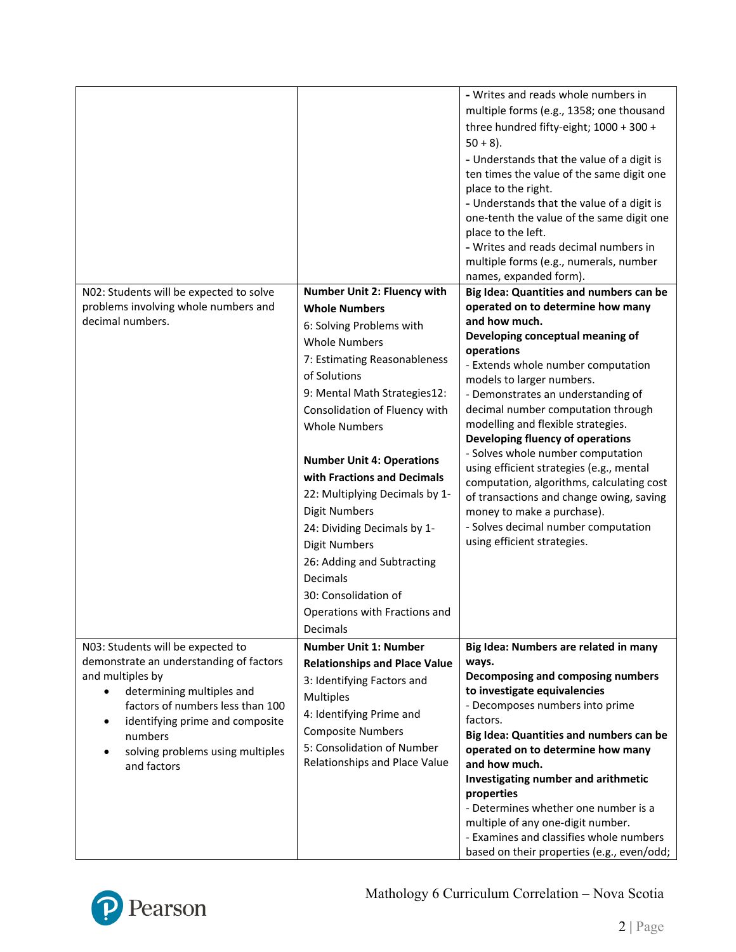|                                                                                                                                                                                                                                                                    |                                                                                                                                                                                                                                                                                                                                                                                                                                                                                                                                                            | - Writes and reads whole numbers in<br>multiple forms (e.g., 1358; one thousand<br>three hundred fifty-eight; 1000 + 300 +<br>$50 + 8$ ).<br>- Understands that the value of a digit is<br>ten times the value of the same digit one<br>place to the right.<br>- Understands that the value of a digit is<br>one-tenth the value of the same digit one<br>place to the left.<br>- Writes and reads decimal numbers in<br>multiple forms (e.g., numerals, number<br>names, expanded form).                                                                                                                                                              |
|--------------------------------------------------------------------------------------------------------------------------------------------------------------------------------------------------------------------------------------------------------------------|------------------------------------------------------------------------------------------------------------------------------------------------------------------------------------------------------------------------------------------------------------------------------------------------------------------------------------------------------------------------------------------------------------------------------------------------------------------------------------------------------------------------------------------------------------|--------------------------------------------------------------------------------------------------------------------------------------------------------------------------------------------------------------------------------------------------------------------------------------------------------------------------------------------------------------------------------------------------------------------------------------------------------------------------------------------------------------------------------------------------------------------------------------------------------------------------------------------------------|
| N02: Students will be expected to solve<br>problems involving whole numbers and<br>decimal numbers.                                                                                                                                                                | <b>Number Unit 2: Fluency with</b><br><b>Whole Numbers</b><br>6: Solving Problems with<br><b>Whole Numbers</b><br>7: Estimating Reasonableness<br>of Solutions<br>9: Mental Math Strategies12:<br>Consolidation of Fluency with<br><b>Whole Numbers</b><br><b>Number Unit 4: Operations</b><br>with Fractions and Decimals<br>22: Multiplying Decimals by 1-<br><b>Digit Numbers</b><br>24: Dividing Decimals by 1-<br><b>Digit Numbers</b><br>26: Adding and Subtracting<br>Decimals<br>30: Consolidation of<br>Operations with Fractions and<br>Decimals | Big Idea: Quantities and numbers can be<br>operated on to determine how many<br>and how much.<br>Developing conceptual meaning of<br>operations<br>- Extends whole number computation<br>models to larger numbers.<br>- Demonstrates an understanding of<br>decimal number computation through<br>modelling and flexible strategies.<br>Developing fluency of operations<br>- Solves whole number computation<br>using efficient strategies (e.g., mental<br>computation, algorithms, calculating cost<br>of transactions and change owing, saving<br>money to make a purchase).<br>- Solves decimal number computation<br>using efficient strategies. |
| N03: Students will be expected to<br>demonstrate an understanding of factors<br>and multiples by<br>determining multiples and<br>factors of numbers less than 100<br>identifying prime and composite<br>numbers<br>solving problems using multiples<br>and factors | <b>Number Unit 1: Number</b><br><b>Relationships and Place Value</b><br>3: Identifying Factors and<br><b>Multiples</b><br>4: Identifying Prime and<br><b>Composite Numbers</b><br>5: Consolidation of Number<br>Relationships and Place Value                                                                                                                                                                                                                                                                                                              | Big Idea: Numbers are related in many<br>ways.<br>Decomposing and composing numbers<br>to investigate equivalencies<br>- Decomposes numbers into prime<br>factors.<br>Big Idea: Quantities and numbers can be<br>operated on to determine how many<br>and how much.<br>Investigating number and arithmetic<br>properties<br>- Determines whether one number is a<br>multiple of any one-digit number.<br>- Examines and classifies whole numbers<br>based on their properties (e.g., even/odd;                                                                                                                                                         |

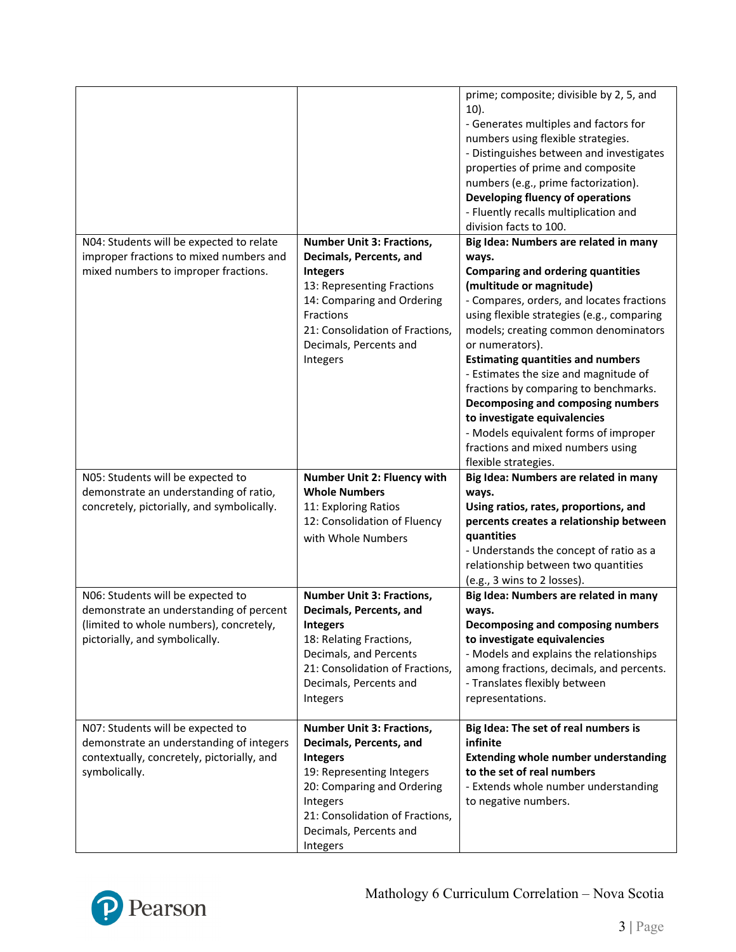|                                            |                                                           | prime; composite; divisible by 2, 5, and<br>$10$ ).<br>- Generates multiples and factors for<br>numbers using flexible strategies.<br>- Distinguishes between and investigates<br>properties of prime and composite |
|--------------------------------------------|-----------------------------------------------------------|---------------------------------------------------------------------------------------------------------------------------------------------------------------------------------------------------------------------|
|                                            |                                                           | numbers (e.g., prime factorization).<br>Developing fluency of operations<br>- Fluently recalls multiplication and                                                                                                   |
|                                            |                                                           | division facts to 100.                                                                                                                                                                                              |
| N04: Students will be expected to relate   | <b>Number Unit 3: Fractions,</b>                          | Big Idea: Numbers are related in many                                                                                                                                                                               |
| improper fractions to mixed numbers and    | Decimals, Percents, and                                   | ways.                                                                                                                                                                                                               |
| mixed numbers to improper fractions.       | <b>Integers</b>                                           | <b>Comparing and ordering quantities</b><br>(multitude or magnitude)                                                                                                                                                |
|                                            | 13: Representing Fractions<br>14: Comparing and Ordering  | - Compares, orders, and locates fractions                                                                                                                                                                           |
|                                            | Fractions                                                 | using flexible strategies (e.g., comparing                                                                                                                                                                          |
|                                            | 21: Consolidation of Fractions,<br>Decimals, Percents and | models; creating common denominators<br>or numerators).                                                                                                                                                             |
|                                            | Integers                                                  | <b>Estimating quantities and numbers</b>                                                                                                                                                                            |
|                                            |                                                           | - Estimates the size and magnitude of                                                                                                                                                                               |
|                                            |                                                           | fractions by comparing to benchmarks.                                                                                                                                                                               |
|                                            |                                                           | Decomposing and composing numbers                                                                                                                                                                                   |
|                                            |                                                           | to investigate equivalencies                                                                                                                                                                                        |
|                                            |                                                           | - Models equivalent forms of improper                                                                                                                                                                               |
|                                            |                                                           | fractions and mixed numbers using<br>flexible strategies.                                                                                                                                                           |
|                                            |                                                           |                                                                                                                                                                                                                     |
|                                            |                                                           |                                                                                                                                                                                                                     |
| N05: Students will be expected to          | Number Unit 2: Fluency with<br><b>Whole Numbers</b>       | Big Idea: Numbers are related in many                                                                                                                                                                               |
| demonstrate an understanding of ratio,     | 11: Exploring Ratios                                      | ways.<br>Using ratios, rates, proportions, and                                                                                                                                                                      |
| concretely, pictorially, and symbolically. | 12: Consolidation of Fluency                              | percents creates a relationship between                                                                                                                                                                             |
|                                            | with Whole Numbers                                        | quantities                                                                                                                                                                                                          |
|                                            |                                                           | - Understands the concept of ratio as a                                                                                                                                                                             |
|                                            |                                                           | relationship between two quantities                                                                                                                                                                                 |
|                                            |                                                           | (e.g., 3 wins to 2 losses).                                                                                                                                                                                         |
| N06: Students will be expected to          | <b>Number Unit 3: Fractions,</b>                          | Big Idea: Numbers are related in many                                                                                                                                                                               |
| demonstrate an understanding of percent    | Decimals, Percents, and                                   | ways.                                                                                                                                                                                                               |
| (limited to whole numbers), concretely,    | <b>Integers</b>                                           | Decomposing and composing numbers                                                                                                                                                                                   |
| pictorially, and symbolically.             | 18: Relating Fractions,                                   | to investigate equivalencies                                                                                                                                                                                        |
|                                            | Decimals, and Percents                                    | - Models and explains the relationships                                                                                                                                                                             |
|                                            | 21: Consolidation of Fractions,<br>Decimals, Percents and | among fractions, decimals, and percents.<br>- Translates flexibly between                                                                                                                                           |
|                                            | Integers                                                  | representations.                                                                                                                                                                                                    |
| N07: Students will be expected to          | <b>Number Unit 3: Fractions,</b>                          | Big Idea: The set of real numbers is                                                                                                                                                                                |
| demonstrate an understanding of integers   | Decimals, Percents, and                                   | infinite                                                                                                                                                                                                            |
| contextually, concretely, pictorially, and | <b>Integers</b>                                           | <b>Extending whole number understanding</b>                                                                                                                                                                         |
| symbolically.                              | 19: Representing Integers                                 | to the set of real numbers                                                                                                                                                                                          |
|                                            | 20: Comparing and Ordering                                | - Extends whole number understanding                                                                                                                                                                                |
|                                            | Integers                                                  | to negative numbers.                                                                                                                                                                                                |
|                                            | 21: Consolidation of Fractions,<br>Decimals, Percents and |                                                                                                                                                                                                                     |

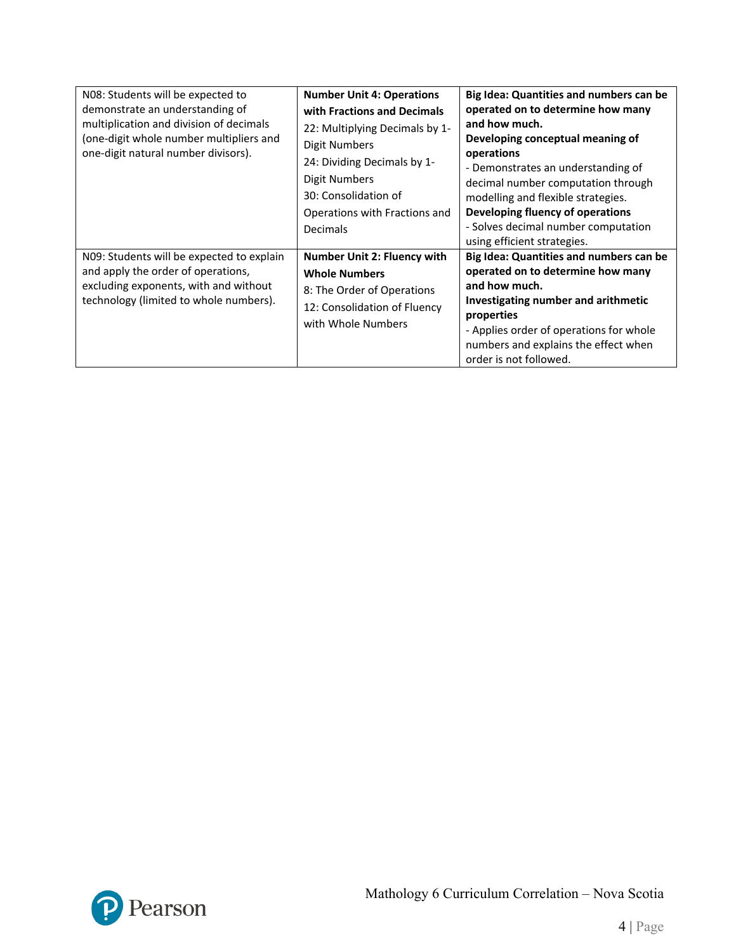| NO8: Students will be expected to<br>demonstrate an understanding of<br>multiplication and division of decimals<br>(one-digit whole number multipliers and<br>one-digit natural number divisors). | <b>Number Unit 4: Operations</b><br>with Fractions and Decimals<br>22: Multiplying Decimals by 1-<br>Digit Numbers<br>24: Dividing Decimals by 1-<br>Digit Numbers<br>30: Consolidation of<br>Operations with Fractions and<br>Decimals | Big Idea: Quantities and numbers can be<br>operated on to determine how many<br>and how much.<br>Developing conceptual meaning of<br>operations<br>- Demonstrates an understanding of<br>decimal number computation through<br>modelling and flexible strategies.<br>Developing fluency of operations<br>- Solves decimal number computation<br>using efficient strategies. |
|---------------------------------------------------------------------------------------------------------------------------------------------------------------------------------------------------|-----------------------------------------------------------------------------------------------------------------------------------------------------------------------------------------------------------------------------------------|-----------------------------------------------------------------------------------------------------------------------------------------------------------------------------------------------------------------------------------------------------------------------------------------------------------------------------------------------------------------------------|
| N09: Students will be expected to explain<br>and apply the order of operations,<br>excluding exponents, with and without<br>technology (limited to whole numbers).                                | Number Unit 2: Fluency with<br><b>Whole Numbers</b><br>8: The Order of Operations<br>12: Consolidation of Fluency<br>with Whole Numbers                                                                                                 | Big Idea: Quantities and numbers can be<br>operated on to determine how many<br>and how much.<br>Investigating number and arithmetic<br>properties<br>- Applies order of operations for whole<br>numbers and explains the effect when<br>order is not followed.                                                                                                             |

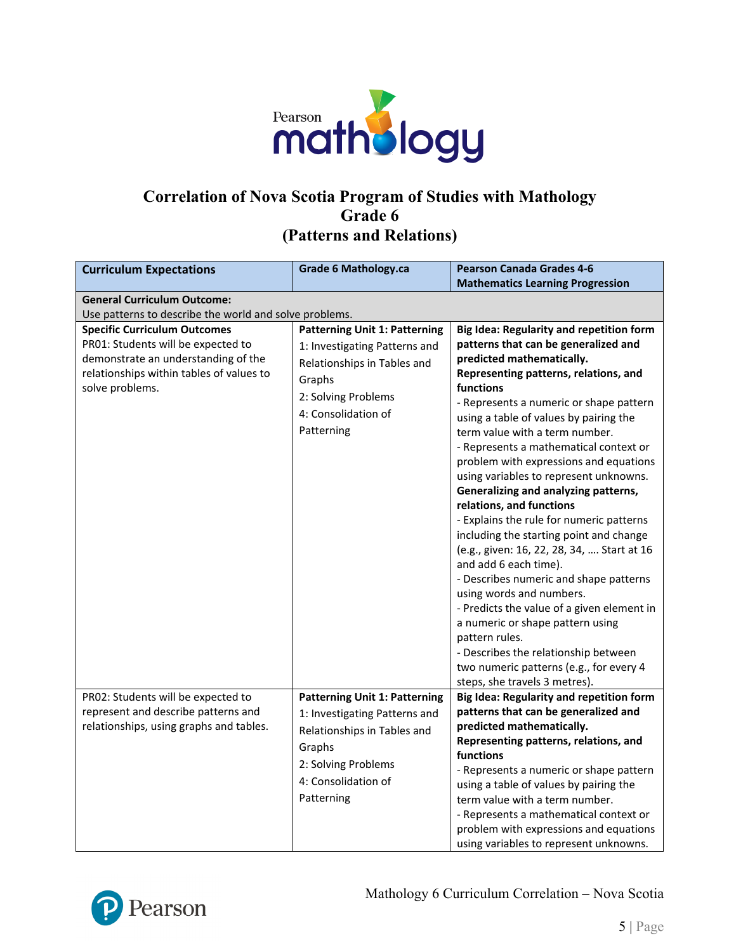

# **Correlation of Nova Scotia Program of Studies with Mathology Grade 6 (Patterns and Relations)**

| <b>Curriculum Expectations</b>                         | <b>Grade 6 Mathology.ca</b>          | <b>Pearson Canada Grades 4-6</b>           |
|--------------------------------------------------------|--------------------------------------|--------------------------------------------|
|                                                        |                                      | <b>Mathematics Learning Progression</b>    |
| <b>General Curriculum Outcome:</b>                     |                                      |                                            |
| Use patterns to describe the world and solve problems. |                                      |                                            |
| <b>Specific Curriculum Outcomes</b>                    | <b>Patterning Unit 1: Patterning</b> | Big Idea: Regularity and repetition form   |
| PR01: Students will be expected to                     | 1: Investigating Patterns and        | patterns that can be generalized and       |
| demonstrate an understanding of the                    | Relationships in Tables and          | predicted mathematically.                  |
| relationships within tables of values to               | Graphs                               | Representing patterns, relations, and      |
| solve problems.                                        | 2: Solving Problems                  | functions                                  |
|                                                        |                                      | - Represents a numeric or shape pattern    |
|                                                        | 4: Consolidation of                  | using a table of values by pairing the     |
|                                                        | Patterning                           | term value with a term number.             |
|                                                        |                                      | - Represents a mathematical context or     |
|                                                        |                                      | problem with expressions and equations     |
|                                                        |                                      | using variables to represent unknowns.     |
|                                                        |                                      | Generalizing and analyzing patterns,       |
|                                                        |                                      | relations, and functions                   |
|                                                        |                                      | - Explains the rule for numeric patterns   |
|                                                        |                                      | including the starting point and change    |
|                                                        |                                      | (e.g., given: 16, 22, 28, 34,  Start at 16 |
|                                                        |                                      | and add 6 each time).                      |
|                                                        |                                      | - Describes numeric and shape patterns     |
|                                                        |                                      | using words and numbers.                   |
|                                                        |                                      | - Predicts the value of a given element in |
|                                                        |                                      | a numeric or shape pattern using           |
|                                                        |                                      | pattern rules.                             |
|                                                        |                                      | - Describes the relationship between       |
|                                                        |                                      | two numeric patterns (e.g., for every 4    |
|                                                        |                                      | steps, she travels 3 metres).              |
| PR02: Students will be expected to                     | <b>Patterning Unit 1: Patterning</b> | Big Idea: Regularity and repetition form   |
| represent and describe patterns and                    | 1: Investigating Patterns and        | patterns that can be generalized and       |
| relationships, using graphs and tables.                | Relationships in Tables and          | predicted mathematically.                  |
|                                                        | Graphs                               | Representing patterns, relations, and      |
|                                                        |                                      | functions                                  |
|                                                        | 2: Solving Problems                  | - Represents a numeric or shape pattern    |
|                                                        | 4: Consolidation of                  | using a table of values by pairing the     |
|                                                        | Patterning                           | term value with a term number.             |
|                                                        |                                      | - Represents a mathematical context or     |
|                                                        |                                      | problem with expressions and equations     |
|                                                        |                                      | using variables to represent unknowns.     |

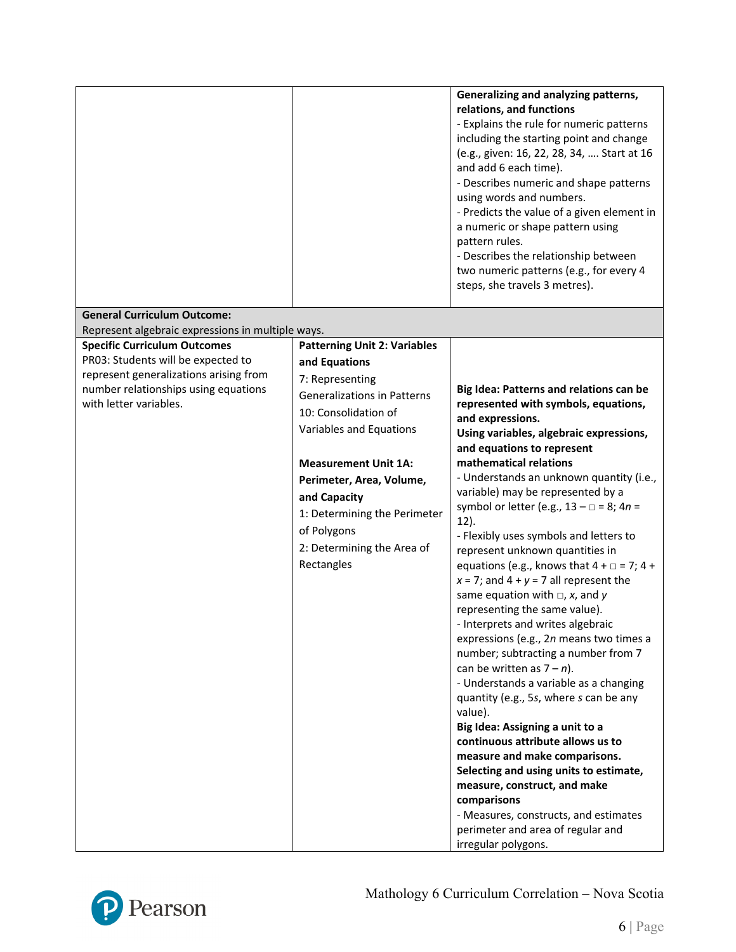|                                                                                                                                                                                       |                                                                                                                                                                                                                                                                                                                                        | Generalizing and analyzing patterns,<br>relations, and functions<br>- Explains the rule for numeric patterns<br>including the starting point and change<br>(e.g., given: 16, 22, 28, 34,  Start at 16<br>and add 6 each time).<br>- Describes numeric and shape patterns<br>using words and numbers.<br>- Predicts the value of a given element in<br>a numeric or shape pattern using<br>pattern rules.<br>- Describes the relationship between<br>two numeric patterns (e.g., for every 4<br>steps, she travels 3 metres).                                                                                                                                                                                                                                                                                                                                                                                                                                                                                                                                                                                                                                                         |
|---------------------------------------------------------------------------------------------------------------------------------------------------------------------------------------|----------------------------------------------------------------------------------------------------------------------------------------------------------------------------------------------------------------------------------------------------------------------------------------------------------------------------------------|--------------------------------------------------------------------------------------------------------------------------------------------------------------------------------------------------------------------------------------------------------------------------------------------------------------------------------------------------------------------------------------------------------------------------------------------------------------------------------------------------------------------------------------------------------------------------------------------------------------------------------------------------------------------------------------------------------------------------------------------------------------------------------------------------------------------------------------------------------------------------------------------------------------------------------------------------------------------------------------------------------------------------------------------------------------------------------------------------------------------------------------------------------------------------------------|
| <b>General Curriculum Outcome:</b>                                                                                                                                                    |                                                                                                                                                                                                                                                                                                                                        |                                                                                                                                                                                                                                                                                                                                                                                                                                                                                                                                                                                                                                                                                                                                                                                                                                                                                                                                                                                                                                                                                                                                                                                      |
| Represent algebraic expressions in multiple ways.                                                                                                                                     |                                                                                                                                                                                                                                                                                                                                        |                                                                                                                                                                                                                                                                                                                                                                                                                                                                                                                                                                                                                                                                                                                                                                                                                                                                                                                                                                                                                                                                                                                                                                                      |
| <b>Specific Curriculum Outcomes</b><br>PR03: Students will be expected to<br>represent generalizations arising from<br>number relationships using equations<br>with letter variables. | <b>Patterning Unit 2: Variables</b><br>and Equations<br>7: Representing<br><b>Generalizations in Patterns</b><br>10: Consolidation of<br>Variables and Equations<br><b>Measurement Unit 1A:</b><br>Perimeter, Area, Volume,<br>and Capacity<br>1: Determining the Perimeter<br>of Polygons<br>2: Determining the Area of<br>Rectangles | Big Idea: Patterns and relations can be<br>represented with symbols, equations,<br>and expressions.<br>Using variables, algebraic expressions,<br>and equations to represent<br>mathematical relations<br>- Understands an unknown quantity (i.e.,<br>variable) may be represented by a<br>symbol or letter (e.g., $13 - \square = 8$ ; $4n =$<br>$12$ ).<br>- Flexibly uses symbols and letters to<br>represent unknown quantities in<br>equations (e.g., knows that $4 + \square = 7$ ; $4 +$<br>$x = 7$ ; and $4 + y = 7$ all represent the<br>same equation with $\Box$ , x, and y<br>representing the same value).<br>- Interprets and writes algebraic<br>expressions (e.g., 2n means two times a<br>number; subtracting a number from 7<br>can be written as $7 - n$ ).<br>- Understands a variable as a changing<br>quantity (e.g., 5s, where s can be any<br>value).<br>Big Idea: Assigning a unit to a<br>continuous attribute allows us to<br>measure and make comparisons.<br>Selecting and using units to estimate,<br>measure, construct, and make<br>comparisons<br>- Measures, constructs, and estimates<br>perimeter and area of regular and<br>irregular polygons. |

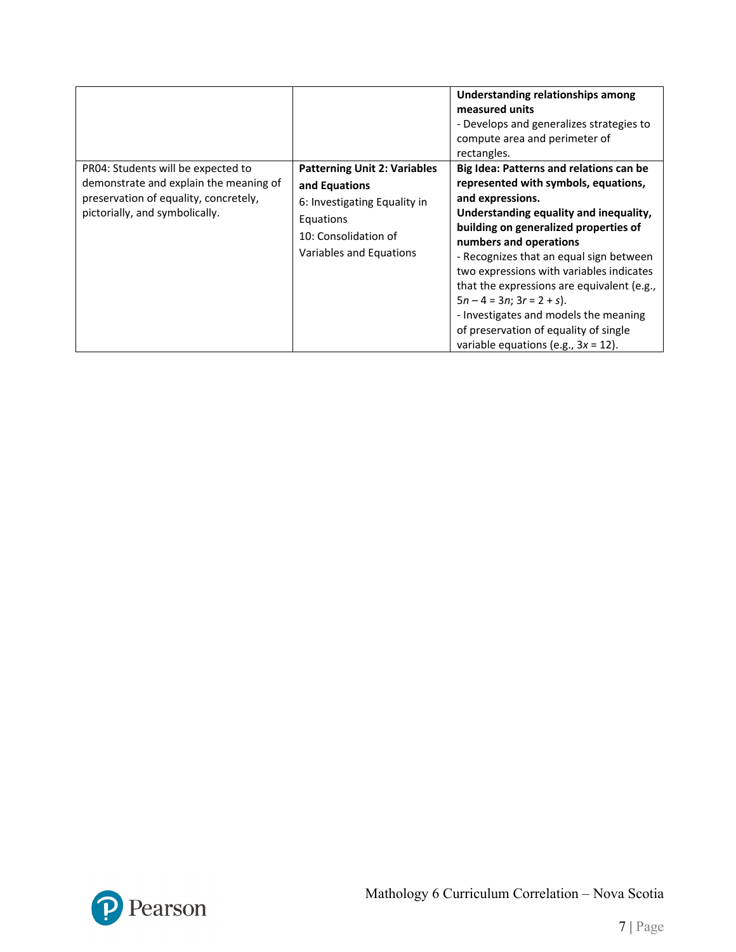|                                                                                                                                                         |                                                                                                                                                      | Understanding relationships among<br>measured units<br>- Develops and generalizes strategies to<br>compute area and perimeter of<br>rectangles.                                                                                                                                                                                                                                                                                                                                                                      |
|---------------------------------------------------------------------------------------------------------------------------------------------------------|------------------------------------------------------------------------------------------------------------------------------------------------------|----------------------------------------------------------------------------------------------------------------------------------------------------------------------------------------------------------------------------------------------------------------------------------------------------------------------------------------------------------------------------------------------------------------------------------------------------------------------------------------------------------------------|
| PR04: Students will be expected to<br>demonstrate and explain the meaning of<br>preservation of equality, concretely,<br>pictorially, and symbolically. | <b>Patterning Unit 2: Variables</b><br>and Equations<br>6: Investigating Equality in<br>Equations<br>10: Consolidation of<br>Variables and Equations | Big Idea: Patterns and relations can be<br>represented with symbols, equations,<br>and expressions.<br>Understanding equality and inequality,<br>building on generalized properties of<br>numbers and operations<br>- Recognizes that an equal sign between<br>two expressions with variables indicates<br>that the expressions are equivalent (e.g.,<br>$5n - 4 = 3n$ ; $3r = 2 + s$ ).<br>- Investigates and models the meaning<br>of preservation of equality of single<br>variable equations (e.g., $3x = 12$ ). |

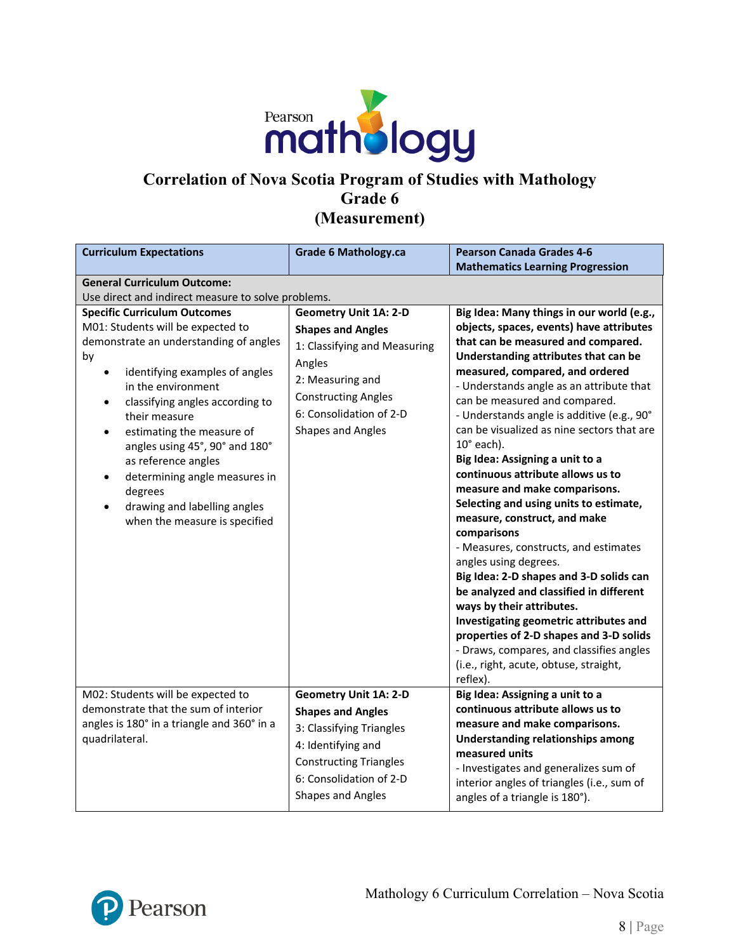

### **Correlation of Nova Scotia Program of Studies with Mathology Grade 6 (Measurement)**

| <b>Curriculum Expectations</b>                                                                                                                                                                                                                                                                                                                                                                                                                                                                   | <b>Grade 6 Mathology.ca</b>                                                                                                                                                                                 | <b>Pearson Canada Grades 4-6</b><br><b>Mathematics Learning Progression</b>                                                                                                                                                                                                                                                                                                                                                                                                                                                                                                                                                                                                                                                                                                                                                                                                                                                                                                          |  |
|--------------------------------------------------------------------------------------------------------------------------------------------------------------------------------------------------------------------------------------------------------------------------------------------------------------------------------------------------------------------------------------------------------------------------------------------------------------------------------------------------|-------------------------------------------------------------------------------------------------------------------------------------------------------------------------------------------------------------|--------------------------------------------------------------------------------------------------------------------------------------------------------------------------------------------------------------------------------------------------------------------------------------------------------------------------------------------------------------------------------------------------------------------------------------------------------------------------------------------------------------------------------------------------------------------------------------------------------------------------------------------------------------------------------------------------------------------------------------------------------------------------------------------------------------------------------------------------------------------------------------------------------------------------------------------------------------------------------------|--|
| <b>General Curriculum Outcome:</b><br>Use direct and indirect measure to solve problems.                                                                                                                                                                                                                                                                                                                                                                                                         |                                                                                                                                                                                                             |                                                                                                                                                                                                                                                                                                                                                                                                                                                                                                                                                                                                                                                                                                                                                                                                                                                                                                                                                                                      |  |
| <b>Specific Curriculum Outcomes</b><br>M01: Students will be expected to<br>demonstrate an understanding of angles<br>by<br>identifying examples of angles<br>٠<br>in the environment<br>classifying angles according to<br>$\bullet$<br>their measure<br>estimating the measure of<br>$\bullet$<br>angles using 45°, 90° and 180°<br>as reference angles<br>determining angle measures in<br>$\bullet$<br>degrees<br>drawing and labelling angles<br>$\bullet$<br>when the measure is specified | <b>Geometry Unit 1A: 2-D</b><br><b>Shapes and Angles</b><br>1: Classifying and Measuring<br>Angles<br>2: Measuring and<br><b>Constructing Angles</b><br>6: Consolidation of 2-D<br><b>Shapes and Angles</b> | Big Idea: Many things in our world (e.g.,<br>objects, spaces, events) have attributes<br>that can be measured and compared.<br>Understanding attributes that can be<br>measured, compared, and ordered<br>- Understands angle as an attribute that<br>can be measured and compared.<br>- Understands angle is additive (e.g., 90°<br>can be visualized as nine sectors that are<br>$10^{\circ}$ each).<br>Big Idea: Assigning a unit to a<br>continuous attribute allows us to<br>measure and make comparisons.<br>Selecting and using units to estimate,<br>measure, construct, and make<br>comparisons<br>- Measures, constructs, and estimates<br>angles using degrees.<br>Big Idea: 2-D shapes and 3-D solids can<br>be analyzed and classified in different<br>ways by their attributes.<br>Investigating geometric attributes and<br>properties of 2-D shapes and 3-D solids<br>- Draws, compares, and classifies angles<br>(i.e., right, acute, obtuse, straight,<br>reflex). |  |
| M02: Students will be expected to<br>demonstrate that the sum of interior<br>angles is 180° in a triangle and 360° in a<br>quadrilateral.                                                                                                                                                                                                                                                                                                                                                        | <b>Geometry Unit 1A: 2-D</b><br><b>Shapes and Angles</b><br>3: Classifying Triangles<br>4: Identifying and<br><b>Constructing Triangles</b><br>6: Consolidation of 2-D<br><b>Shapes and Angles</b>          | Big Idea: Assigning a unit to a<br>continuous attribute allows us to<br>measure and make comparisons.<br><b>Understanding relationships among</b><br>measured units<br>- Investigates and generalizes sum of<br>interior angles of triangles (i.e., sum of<br>angles of a triangle is 180°).                                                                                                                                                                                                                                                                                                                                                                                                                                                                                                                                                                                                                                                                                         |  |

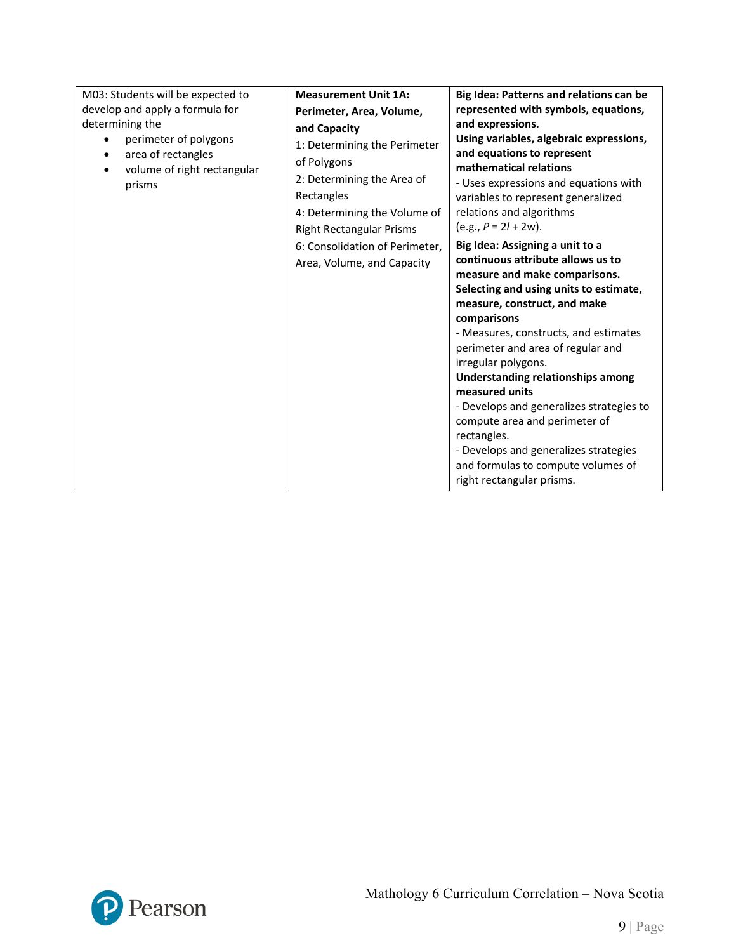| M03: Students will be expected to                                                    | <b>Measurement Unit 1A:</b>                                                                                                                                                                                                | Big Idea: Patterns and relations can be                                                                                                                                                                                                                                                                                                                                                                                                                                                                                                                                                                                                                                                                                                                                                                    |
|--------------------------------------------------------------------------------------|----------------------------------------------------------------------------------------------------------------------------------------------------------------------------------------------------------------------------|------------------------------------------------------------------------------------------------------------------------------------------------------------------------------------------------------------------------------------------------------------------------------------------------------------------------------------------------------------------------------------------------------------------------------------------------------------------------------------------------------------------------------------------------------------------------------------------------------------------------------------------------------------------------------------------------------------------------------------------------------------------------------------------------------------|
| develop and apply a formula for                                                      | Perimeter, Area, Volume,                                                                                                                                                                                                   | represented with symbols, equations,                                                                                                                                                                                                                                                                                                                                                                                                                                                                                                                                                                                                                                                                                                                                                                       |
| determining the                                                                      | and Capacity                                                                                                                                                                                                               | and expressions.                                                                                                                                                                                                                                                                                                                                                                                                                                                                                                                                                                                                                                                                                                                                                                                           |
| perimeter of polygons<br>area of rectangles<br>volume of right rectangular<br>prisms | 1: Determining the Perimeter<br>of Polygons<br>2: Determining the Area of<br>Rectangles<br>4: Determining the Volume of<br><b>Right Rectangular Prisms</b><br>6: Consolidation of Perimeter,<br>Area, Volume, and Capacity | Using variables, algebraic expressions,<br>and equations to represent<br>mathematical relations<br>- Uses expressions and equations with<br>variables to represent generalized<br>relations and algorithms<br>$(e.g., P = 2l + 2w).$<br>Big Idea: Assigning a unit to a<br>continuous attribute allows us to<br>measure and make comparisons.<br>Selecting and using units to estimate,<br>measure, construct, and make<br>comparisons<br>- Measures, constructs, and estimates<br>perimeter and area of regular and<br>irregular polygons.<br>Understanding relationships among<br>measured units<br>- Develops and generalizes strategies to<br>compute area and perimeter of<br>rectangles.<br>- Develops and generalizes strategies<br>and formulas to compute volumes of<br>right rectangular prisms. |

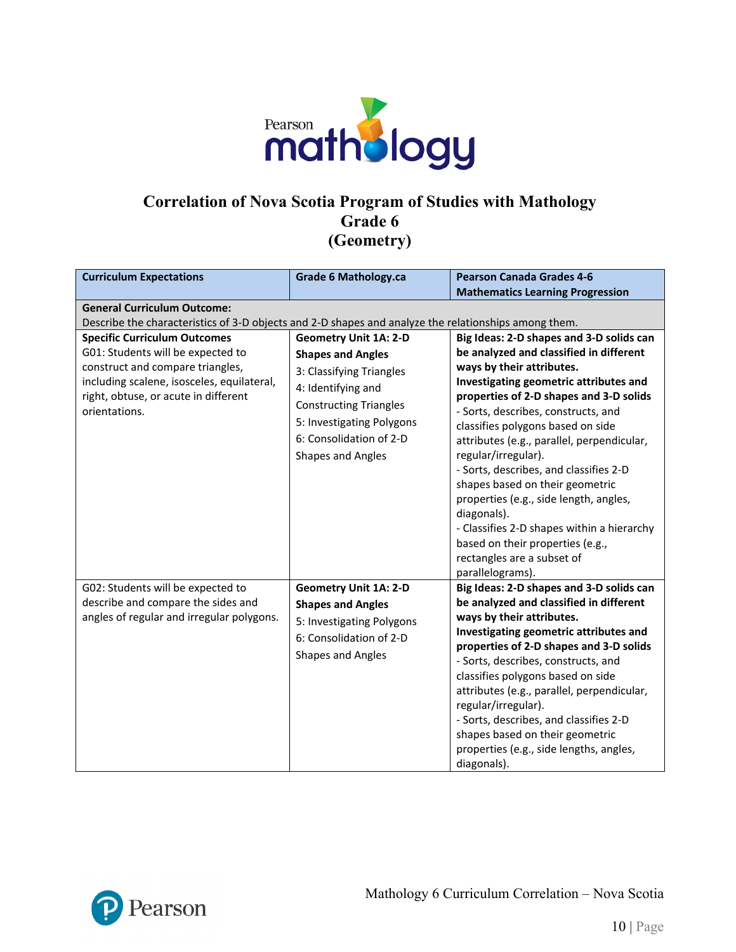

#### **Correlation of Nova Scotia Program of Studies with Mathology Grade 6 (Geometry)**

| <b>Curriculum Expectations</b>                                                                                                                                                                                      | <b>Grade 6 Mathology.ca</b>                                                                                                                                                                                                     | <b>Pearson Canada Grades 4-6</b>                                                                                                                                                                                                                                                                                                                                                                                                                                                                                                                                                                                                 |  |
|---------------------------------------------------------------------------------------------------------------------------------------------------------------------------------------------------------------------|---------------------------------------------------------------------------------------------------------------------------------------------------------------------------------------------------------------------------------|----------------------------------------------------------------------------------------------------------------------------------------------------------------------------------------------------------------------------------------------------------------------------------------------------------------------------------------------------------------------------------------------------------------------------------------------------------------------------------------------------------------------------------------------------------------------------------------------------------------------------------|--|
|                                                                                                                                                                                                                     |                                                                                                                                                                                                                                 | <b>Mathematics Learning Progression</b>                                                                                                                                                                                                                                                                                                                                                                                                                                                                                                                                                                                          |  |
| <b>General Curriculum Outcome:</b>                                                                                                                                                                                  |                                                                                                                                                                                                                                 |                                                                                                                                                                                                                                                                                                                                                                                                                                                                                                                                                                                                                                  |  |
| Describe the characteristics of 3-D objects and 2-D shapes and analyze the relationships among them.                                                                                                                |                                                                                                                                                                                                                                 |                                                                                                                                                                                                                                                                                                                                                                                                                                                                                                                                                                                                                                  |  |
| <b>Specific Curriculum Outcomes</b><br>G01: Students will be expected to<br>construct and compare triangles,<br>including scalene, isosceles, equilateral,<br>right, obtuse, or acute in different<br>orientations. | <b>Geometry Unit 1A: 2-D</b><br><b>Shapes and Angles</b><br>3: Classifying Triangles<br>4: Identifying and<br><b>Constructing Triangles</b><br>5: Investigating Polygons<br>6: Consolidation of 2-D<br><b>Shapes and Angles</b> | Big Ideas: 2-D shapes and 3-D solids can<br>be analyzed and classified in different<br>ways by their attributes.<br>Investigating geometric attributes and<br>properties of 2-D shapes and 3-D solids<br>- Sorts, describes, constructs, and<br>classifies polygons based on side<br>attributes (e.g., parallel, perpendicular,<br>regular/irregular).<br>- Sorts, describes, and classifies 2-D<br>shapes based on their geometric<br>properties (e.g., side length, angles,<br>diagonals).<br>- Classifies 2-D shapes within a hierarchy<br>based on their properties (e.g.,<br>rectangles are a subset of<br>parallelograms). |  |
| G02: Students will be expected to                                                                                                                                                                                   | <b>Geometry Unit 1A: 2-D</b>                                                                                                                                                                                                    | Big Ideas: 2-D shapes and 3-D solids can                                                                                                                                                                                                                                                                                                                                                                                                                                                                                                                                                                                         |  |
| describe and compare the sides and                                                                                                                                                                                  | <b>Shapes and Angles</b>                                                                                                                                                                                                        | be analyzed and classified in different                                                                                                                                                                                                                                                                                                                                                                                                                                                                                                                                                                                          |  |
| angles of regular and irregular polygons.                                                                                                                                                                           |                                                                                                                                                                                                                                 | ways by their attributes.                                                                                                                                                                                                                                                                                                                                                                                                                                                                                                                                                                                                        |  |
|                                                                                                                                                                                                                     | 5: Investigating Polygons                                                                                                                                                                                                       | Investigating geometric attributes and                                                                                                                                                                                                                                                                                                                                                                                                                                                                                                                                                                                           |  |
|                                                                                                                                                                                                                     | 6: Consolidation of 2-D<br><b>Shapes and Angles</b>                                                                                                                                                                             | properties of 2-D shapes and 3-D solids<br>- Sorts, describes, constructs, and<br>classifies polygons based on side<br>attributes (e.g., parallel, perpendicular,<br>regular/irregular).<br>- Sorts, describes, and classifies 2-D<br>shapes based on their geometric<br>properties (e.g., side lengths, angles,<br>diagonals).                                                                                                                                                                                                                                                                                                  |  |

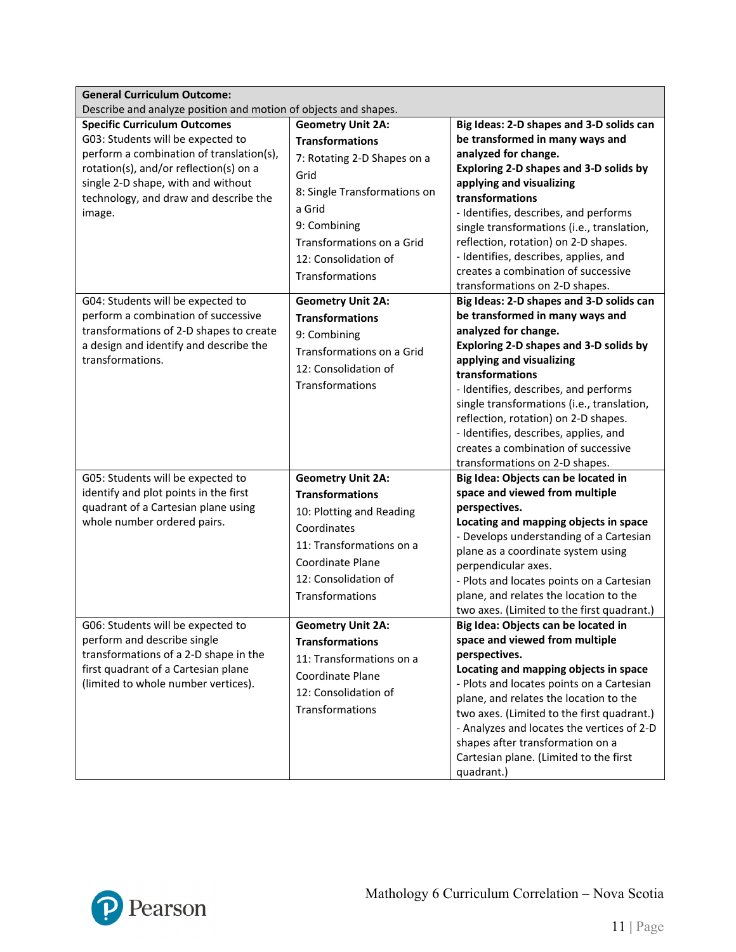| <b>General Curriculum Outcome:</b>                                                                                                                                                                                                                            |                                                                                                                                                                                                                                                                            |                                                                                                                                                                                                                                                                                                                                                                                                                                                                        |  |
|---------------------------------------------------------------------------------------------------------------------------------------------------------------------------------------------------------------------------------------------------------------|----------------------------------------------------------------------------------------------------------------------------------------------------------------------------------------------------------------------------------------------------------------------------|------------------------------------------------------------------------------------------------------------------------------------------------------------------------------------------------------------------------------------------------------------------------------------------------------------------------------------------------------------------------------------------------------------------------------------------------------------------------|--|
| Describe and analyze position and motion of objects and shapes.                                                                                                                                                                                               |                                                                                                                                                                                                                                                                            |                                                                                                                                                                                                                                                                                                                                                                                                                                                                        |  |
| <b>Specific Curriculum Outcomes</b><br>G03: Students will be expected to<br>perform a combination of translation(s),<br>rotation(s), and/or reflection(s) on a<br>single 2-D shape, with and without<br>technology, and draw and describe the<br>image.       | <b>Geometry Unit 2A:</b><br><b>Transformations</b><br>7: Rotating 2-D Shapes on a<br>Grid<br>8: Single Transformations on<br>a Grid<br>9: Combining<br>Transformations on a Grid<br>12: Consolidation of<br>Transformations                                                | Big Ideas: 2-D shapes and 3-D solids can<br>be transformed in many ways and<br>analyzed for change.<br>Exploring 2-D shapes and 3-D solids by<br>applying and visualizing<br>transformations<br>- Identifies, describes, and performs<br>single transformations (i.e., translation,<br>reflection, rotation) on 2-D shapes.<br>- Identifies, describes, applies, and<br>creates a combination of successive<br>transformations on 2-D shapes.                          |  |
| G04: Students will be expected to<br>perform a combination of successive<br>transformations of 2-D shapes to create<br>a design and identify and describe the<br>transformations.                                                                             | <b>Geometry Unit 2A:</b><br><b>Transformations</b><br>9: Combining<br>Transformations on a Grid<br>12: Consolidation of<br>Transformations                                                                                                                                 | Big Ideas: 2-D shapes and 3-D solids can<br>be transformed in many ways and<br>analyzed for change.<br>Exploring 2-D shapes and 3-D solids by<br>applying and visualizing<br>transformations<br>- Identifies, describes, and performs<br>single transformations (i.e., translation,<br>reflection, rotation) on 2-D shapes.<br>- Identifies, describes, applies, and<br>creates a combination of successive<br>transformations on 2-D shapes.                          |  |
| G05: Students will be expected to<br>identify and plot points in the first<br>quadrant of a Cartesian plane using<br>whole number ordered pairs.<br>G06: Students will be expected to<br>perform and describe single<br>transformations of a 2-D shape in the | <b>Geometry Unit 2A:</b><br><b>Transformations</b><br>10: Plotting and Reading<br>Coordinates<br>11: Transformations on a<br>Coordinate Plane<br>12: Consolidation of<br>Transformations<br><b>Geometry Unit 2A:</b><br><b>Transformations</b><br>11: Transformations on a | Big Idea: Objects can be located in<br>space and viewed from multiple<br>perspectives.<br>Locating and mapping objects in space<br>- Develops understanding of a Cartesian<br>plane as a coordinate system using<br>perpendicular axes.<br>- Plots and locates points on a Cartesian<br>plane, and relates the location to the<br>two axes. (Limited to the first quadrant.)<br>Big Idea: Objects can be located in<br>space and viewed from multiple<br>perspectives. |  |
| first quadrant of a Cartesian plane<br>(limited to whole number vertices).                                                                                                                                                                                    | Coordinate Plane<br>12: Consolidation of<br>Transformations                                                                                                                                                                                                                | Locating and mapping objects in space<br>- Plots and locates points on a Cartesian<br>plane, and relates the location to the<br>two axes. (Limited to the first quadrant.)<br>- Analyzes and locates the vertices of 2-D<br>shapes after transformation on a<br>Cartesian plane. (Limited to the first<br>quadrant.)                                                                                                                                                   |  |

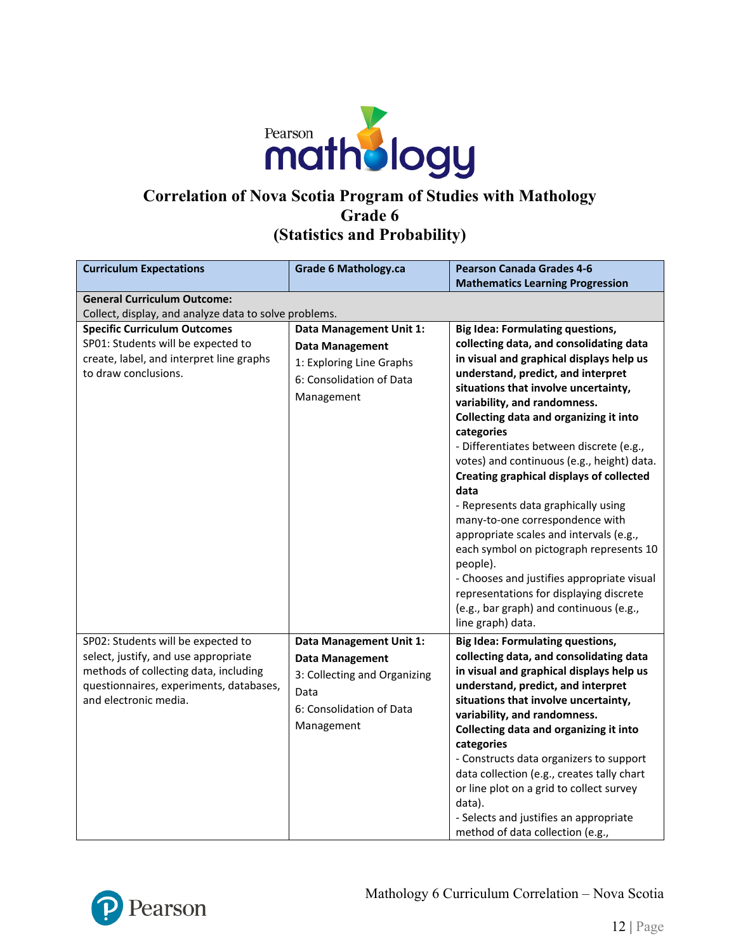

# **Correlation of Nova Scotia Program of Studies with Mathology Grade 6 (Statistics and Probability)**

| <b>Curriculum Expectations</b>                                                                                                                                                          | <b>Grade 6 Mathology.ca</b>                                                                                                         | <b>Pearson Canada Grades 4-6</b>                                                                                                                                                                                                                                                                                                                                                                                                                                                                                                                                                                                                                                                                                                                                                               |
|-----------------------------------------------------------------------------------------------------------------------------------------------------------------------------------------|-------------------------------------------------------------------------------------------------------------------------------------|------------------------------------------------------------------------------------------------------------------------------------------------------------------------------------------------------------------------------------------------------------------------------------------------------------------------------------------------------------------------------------------------------------------------------------------------------------------------------------------------------------------------------------------------------------------------------------------------------------------------------------------------------------------------------------------------------------------------------------------------------------------------------------------------|
|                                                                                                                                                                                         |                                                                                                                                     | <b>Mathematics Learning Progression</b>                                                                                                                                                                                                                                                                                                                                                                                                                                                                                                                                                                                                                                                                                                                                                        |
| <b>General Curriculum Outcome:</b>                                                                                                                                                      |                                                                                                                                     |                                                                                                                                                                                                                                                                                                                                                                                                                                                                                                                                                                                                                                                                                                                                                                                                |
| Collect, display, and analyze data to solve problems.                                                                                                                                   |                                                                                                                                     |                                                                                                                                                                                                                                                                                                                                                                                                                                                                                                                                                                                                                                                                                                                                                                                                |
| <b>Specific Curriculum Outcomes</b><br>SP01: Students will be expected to<br>create, label, and interpret line graphs<br>to draw conclusions.                                           | Data Management Unit 1:<br><b>Data Management</b><br>1: Exploring Line Graphs<br>6: Consolidation of Data<br>Management             | <b>Big Idea: Formulating questions,</b><br>collecting data, and consolidating data<br>in visual and graphical displays help us<br>understand, predict, and interpret<br>situations that involve uncertainty,<br>variability, and randomness.<br>Collecting data and organizing it into<br>categories<br>- Differentiates between discrete (e.g.,<br>votes) and continuous (e.g., height) data.<br><b>Creating graphical displays of collected</b><br>data<br>- Represents data graphically using<br>many-to-one correspondence with<br>appropriate scales and intervals (e.g.,<br>each symbol on pictograph represents 10<br>people).<br>- Chooses and justifies appropriate visual<br>representations for displaying discrete<br>(e.g., bar graph) and continuous (e.g.,<br>line graph) data. |
| SP02: Students will be expected to<br>select, justify, and use appropriate<br>methods of collecting data, including<br>questionnaires, experiments, databases,<br>and electronic media. | Data Management Unit 1:<br><b>Data Management</b><br>3: Collecting and Organizing<br>Data<br>6: Consolidation of Data<br>Management | <b>Big Idea: Formulating questions,</b><br>collecting data, and consolidating data<br>in visual and graphical displays help us<br>understand, predict, and interpret<br>situations that involve uncertainty,<br>variability, and randomness.<br>Collecting data and organizing it into<br>categories<br>- Constructs data organizers to support<br>data collection (e.g., creates tally chart<br>or line plot on a grid to collect survey<br>data).<br>- Selects and justifies an appropriate<br>method of data collection (e.g.,                                                                                                                                                                                                                                                              |

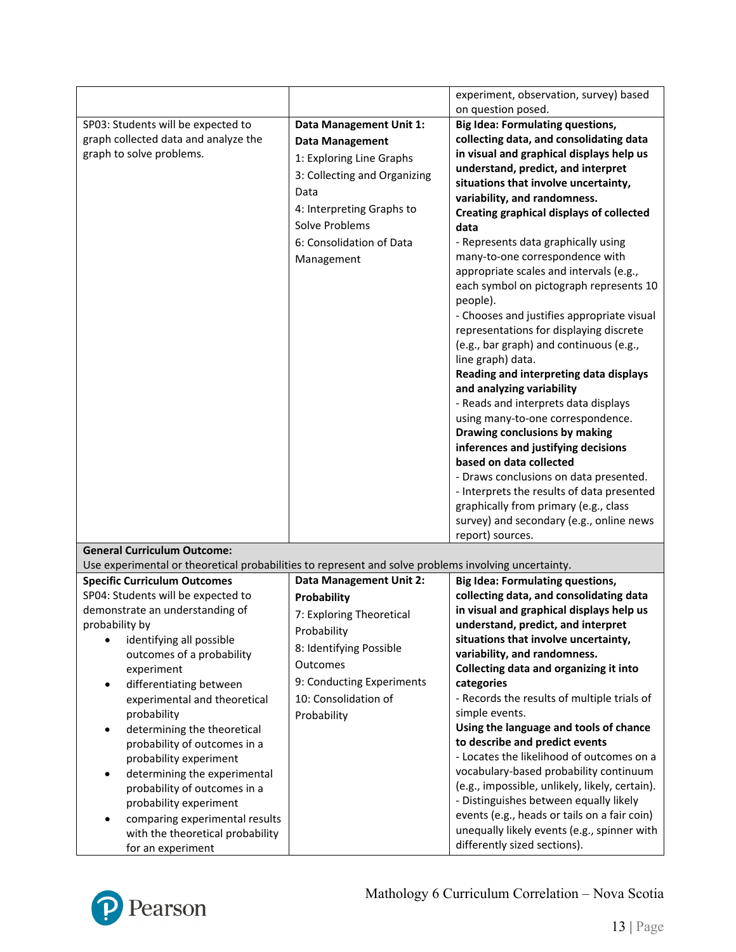|                                                                                                      |                                | experiment, observation, survey) based          |
|------------------------------------------------------------------------------------------------------|--------------------------------|-------------------------------------------------|
|                                                                                                      |                                | on question posed.                              |
| SP03: Students will be expected to                                                                   | Data Management Unit 1:        | <b>Big Idea: Formulating questions,</b>         |
| graph collected data and analyze the                                                                 |                                | collecting data, and consolidating data         |
| graph to solve problems.                                                                             | <b>Data Management</b>         | in visual and graphical displays help us        |
|                                                                                                      | 1: Exploring Line Graphs       | understand, predict, and interpret              |
|                                                                                                      | 3: Collecting and Organizing   | situations that involve uncertainty,            |
|                                                                                                      | Data                           | variability, and randomness.                    |
|                                                                                                      | 4: Interpreting Graphs to      | <b>Creating graphical displays of collected</b> |
|                                                                                                      | Solve Problems                 | data                                            |
|                                                                                                      | 6: Consolidation of Data       | - Represents data graphically using             |
|                                                                                                      |                                | many-to-one correspondence with                 |
|                                                                                                      | Management                     | appropriate scales and intervals (e.g.,         |
|                                                                                                      |                                | each symbol on pictograph represents 10         |
|                                                                                                      |                                |                                                 |
|                                                                                                      |                                | people).                                        |
|                                                                                                      |                                | - Chooses and justifies appropriate visual      |
|                                                                                                      |                                | representations for displaying discrete         |
|                                                                                                      |                                | (e.g., bar graph) and continuous (e.g.,         |
|                                                                                                      |                                | line graph) data.                               |
|                                                                                                      |                                | Reading and interpreting data displays          |
|                                                                                                      |                                | and analyzing variability                       |
|                                                                                                      |                                | - Reads and interprets data displays            |
|                                                                                                      |                                | using many-to-one correspondence.               |
|                                                                                                      |                                | Drawing conclusions by making                   |
|                                                                                                      |                                | inferences and justifying decisions             |
|                                                                                                      |                                | based on data collected                         |
|                                                                                                      |                                | - Draws conclusions on data presented.          |
|                                                                                                      |                                | - Interprets the results of data presented      |
|                                                                                                      |                                | graphically from primary (e.g., class           |
|                                                                                                      |                                | survey) and secondary (e.g., online news        |
|                                                                                                      |                                | report) sources.                                |
| <b>General Curriculum Outcome:</b>                                                                   |                                |                                                 |
| Use experimental or theoretical probabilities to represent and solve problems involving uncertainty. |                                |                                                 |
| <b>Specific Curriculum Outcomes</b>                                                                  | <b>Data Management Unit 2:</b> | <b>Big Idea: Formulating questions,</b>         |
| SP04: Students will be expected to                                                                   | Probability                    | collecting data, and consolidating data         |
| demonstrate an understanding of                                                                      | 7: Exploring Theoretical       | in visual and graphical displays help us        |
| probability by                                                                                       | Probability                    | understand, predict, and interpret              |
| identifying all possible                                                                             | 8: Identifying Possible        | situations that involve uncertainty,            |
| outcomes of a probability                                                                            |                                | variability, and randomness.                    |
| experiment                                                                                           | Outcomes                       | Collecting data and organizing it into          |
| differentiating between                                                                              | 9: Conducting Experiments      | categories                                      |
| experimental and theoretical                                                                         | 10: Consolidation of           | - Records the results of multiple trials of     |
| probability                                                                                          | Probability                    | simple events.                                  |
| determining the theoretical<br>٠                                                                     |                                | Using the language and tools of chance          |
| probability of outcomes in a                                                                         |                                | to describe and predict events                  |
| probability experiment                                                                               |                                | - Locates the likelihood of outcomes on a       |
| determining the experimental<br>٠                                                                    |                                | vocabulary-based probability continuum          |
| probability of outcomes in a                                                                         |                                | (e.g., impossible, unlikely, likely, certain).  |
| probability experiment                                                                               |                                | - Distinguishes between equally likely          |
| comparing experimental results                                                                       |                                | events (e.g., heads or tails on a fair coin)    |
| with the theoretical probability                                                                     |                                | unequally likely events (e.g., spinner with     |
|                                                                                                      |                                | differently sized sections).                    |
| for an experiment                                                                                    |                                |                                                 |